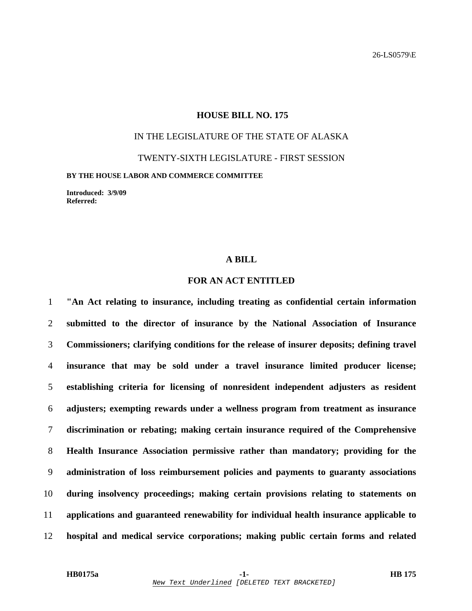#### **HOUSE BILL NO. 175**

# IN THE LEGISLATURE OF THE STATE OF ALASKA

TWENTY-SIXTH LEGISLATURE - FIRST SESSION

**BY THE HOUSE LABOR AND COMMERCE COMMITTEE** 

**Introduced: 3/9/09 Referred:** 

#### **A BILL**

### **FOR AN ACT ENTITLED**

**"An Act relating to insurance, including treating as confidential certain information submitted to the director of insurance by the National Association of Insurance Commissioners; clarifying conditions for the release of insurer deposits; defining travel insurance that may be sold under a travel insurance limited producer license; establishing criteria for licensing of nonresident independent adjusters as resident adjusters; exempting rewards under a wellness program from treatment as insurance discrimination or rebating; making certain insurance required of the Comprehensive Health Insurance Association permissive rather than mandatory; providing for the administration of loss reimbursement policies and payments to guaranty associations during insolvency proceedings; making certain provisions relating to statements on applications and guaranteed renewability for individual health insurance applicable to hospital and medical service corporations; making public certain forms and related**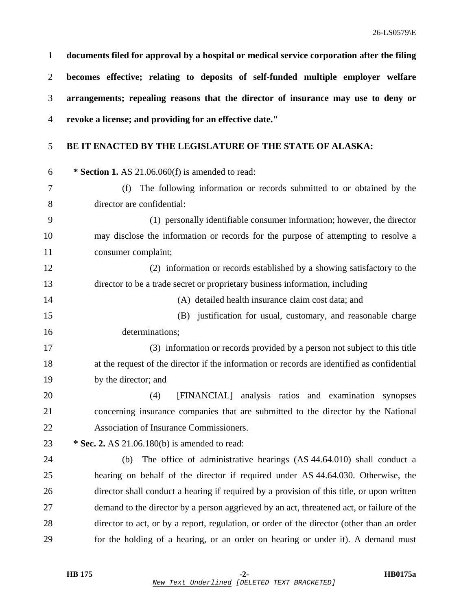|   | documents filed for approval by a hospital or medical service corporation after the filing |
|---|--------------------------------------------------------------------------------------------|
| 2 | becomes effective; relating to deposits of self-funded multiple employer welfare           |
| 3 | arrangements; repealing reasons that the director of insurance may use to deny or          |
|   | 4 revoke a license; and providing for an effective date."                                  |

## 5 **BE IT ENACTED BY THE LEGISLATURE OF THE STATE OF ALASKA:**

| 6               | * Section 1. AS 21.06.060(f) is amended to read:                                            |
|-----------------|---------------------------------------------------------------------------------------------|
| $7\phantom{.0}$ | The following information or records submitted to or obtained by the<br>(f)                 |
| 8               | director are confidential:                                                                  |
| 9               | (1) personally identifiable consumer information; however, the director                     |
| 10              | may disclose the information or records for the purpose of attempting to resolve a          |
| 11              | consumer complaint;                                                                         |
| 12              | (2) information or records established by a showing satisfactory to the                     |
| 13              | director to be a trade secret or proprietary business information, including                |
| 14              | (A) detailed health insurance claim cost data; and                                          |
| 15              | (B) justification for usual, customary, and reasonable charge                               |
| 16              | determinations;                                                                             |
| 17              | (3) information or records provided by a person not subject to this title                   |
| 18              | at the request of the director if the information or records are identified as confidential |
| 19              | by the director; and                                                                        |
| 20              | [FINANCIAL] analysis ratios and examination synopses<br>(4)                                 |
| 21              | concerning insurance companies that are submitted to the director by the National           |
| 22              | Association of Insurance Commissioners.                                                     |
| 23              | * Sec. 2. AS 21.06.180(b) is amended to read:                                               |
| 24              | The office of administrative hearings (AS 44.64.010) shall conduct a<br>(b)                 |
| 25              | hearing on behalf of the director if required under AS 44.64.030. Otherwise, the            |
| 26              | director shall conduct a hearing if required by a provision of this title, or upon written  |
| 27              | demand to the director by a person aggrieved by an act, threatened act, or failure of the   |
| 28              | director to act, or by a report, regulation, or order of the director (other than an order  |
| 29              | for the holding of a hearing, or an order on hearing or under it). A demand must            |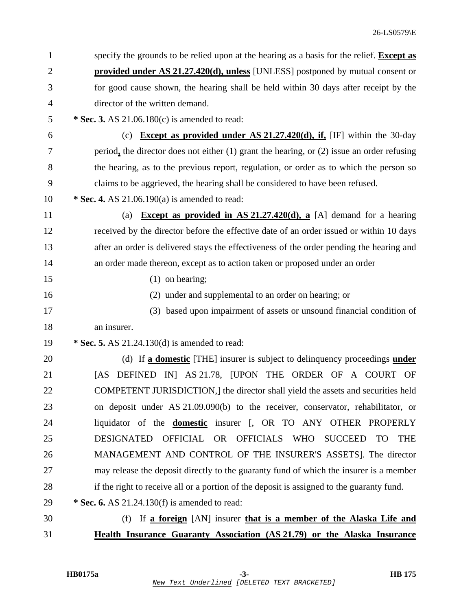| $\mathbf{1}$ | specify the grounds to be relied upon at the hearing as a basis for the relief. Except as      |
|--------------|------------------------------------------------------------------------------------------------|
| 2            | <b>provided under AS 21.27.420(d), unless</b> [UNLESS] postponed by mutual consent or          |
| 3            | for good cause shown, the hearing shall be held within 30 days after receipt by the            |
| 4            | director of the written demand.                                                                |
| 5            | * Sec. 3. AS $21.06.180(c)$ is amended to read:                                                |
| 6            | (c) <b>Except as provided under AS 21.27.420(d), if,</b> [IF] within the 30-day                |
| 7            | period, the director does not either $(1)$ grant the hearing, or $(2)$ issue an order refusing |
| 8            | the hearing, as to the previous report, regulation, or order as to which the person so         |
| 9            | claims to be aggrieved, the hearing shall be considered to have been refused.                  |
| 10           | * Sec. 4. AS $21.06.190(a)$ is amended to read:                                                |
| 11           | <b>Except as provided in AS 21.27.420(d), a</b> [A] demand for a hearing<br>(a)                |
| 12           | received by the director before the effective date of an order issued or within 10 days        |
| 13           | after an order is delivered stays the effectiveness of the order pending the hearing and       |
| 14           | an order made thereon, except as to action taken or proposed under an order                    |
| 15           | $(1)$ on hearing;                                                                              |
| 16           | (2) under and supplemental to an order on hearing; or                                          |
| 17           | (3) based upon impairment of assets or unsound financial condition of                          |
| 18           | an insurer.                                                                                    |
| 19           | * Sec. 5. AS 21.24.130(d) is amended to read:                                                  |
| 20           | (d) If a domestic [THE] insurer is subject to delinquency proceedings under                    |
| 21           | DEFINED IN AS 21.78, JUPON THE ORDER OF A COURT OF<br>[AS]                                     |
| 22           | COMPETENT JURISDICTION,] the director shall yield the assets and securities held               |
| 23           | on deposit under AS 21.09.090(b) to the receiver, conservator, rehabilitator, or               |
| 24           | liquidator of the <b>domestic</b> insurer [, OR TO ANY OTHER PROPERLY                          |
| 25           | <b>DESIGNATED</b><br>OFFICIAL OR OFFICIALS WHO<br>SUCCEED<br><b>TO</b><br><b>THE</b>           |
| 26           | MANAGEMENT AND CONTROL OF THE INSURER'S ASSETS]. The director                                  |
| 27           | may release the deposit directly to the guaranty fund of which the insurer is a member         |
| 28           | if the right to receive all or a portion of the deposit is assigned to the guaranty fund.      |
| 29           | * Sec. 6. AS $21.24.130(f)$ is amended to read:                                                |
| 30           | If a foreign [AN] insurer that is a member of the Alaska Life and<br>(f)                       |
| 31           | Health Insurance Guaranty Association (AS 21.79) or the Alaska Insurance                       |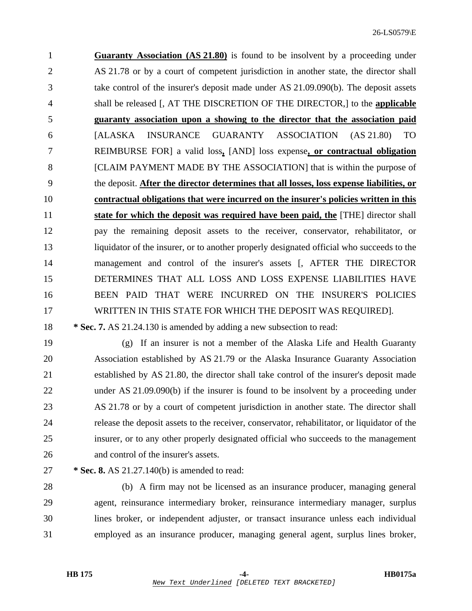1 **Guaranty Association (AS 21.80)** is found to be insolvent by a proceeding under 2 AS 21.78 or by a court of competent jurisdiction in another state, the director shall 3 take control of the insurer's deposit made under AS 21.09.090(b). The deposit assets 4 shall be released [, AT THE DISCRETION OF THE DIRECTOR,] to the **applicable** 5 **guaranty association upon a showing to the director that the association paid** 6 [ALASKA INSURANCE GUARANTY ASSOCIATION (AS 21.80) TO 7 REIMBURSE FOR] a valid loss**,** [AND] loss expense**, or contractual obligation** 8 [CLAIM PAYMENT MADE BY THE ASSOCIATION] that is within the purpose of 9 the deposit. **After the director determines that all losses, loss expense liabilities, or** 10 **contractual obligations that were incurred on the insurer's policies written in this** 11 **state for which the deposit was required have been paid, the** [THE] director shall 12 pay the remaining deposit assets to the receiver, conservator, rehabilitator, or 13 liquidator of the insurer, or to another properly designated official who succeeds to the 14 management and control of the insurer's assets [, AFTER THE DIRECTOR 15 DETERMINES THAT ALL LOSS AND LOSS EXPENSE LIABILITIES HAVE 16 BEEN PAID THAT WERE INCURRED ON THE INSURER'S POLICIES 17 WRITTEN IN THIS STATE FOR WHICH THE DEPOSIT WAS REQUIRED].

18 **\* Sec. 7.** AS 21.24.130 is amended by adding a new subsection to read:

19 (g) If an insurer is not a member of the Alaska Life and Health Guaranty 20 Association established by AS 21.79 or the Alaska Insurance Guaranty Association 21 established by AS 21.80, the director shall take control of the insurer's deposit made 22 under AS 21.09.090(b) if the insurer is found to be insolvent by a proceeding under 23 AS 21.78 or by a court of competent jurisdiction in another state. The director shall 24 release the deposit assets to the receiver, conservator, rehabilitator, or liquidator of the 25 insurer, or to any other properly designated official who succeeds to the management 26 and control of the insurer's assets.

27 **\* Sec. 8.** AS 21.27.140(b) is amended to read:

28 (b) A firm may not be licensed as an insurance producer, managing general 29 agent, reinsurance intermediary broker, reinsurance intermediary manager, surplus 30 lines broker, or independent adjuster, or transact insurance unless each individual 31 employed as an insurance producer, managing general agent, surplus lines broker,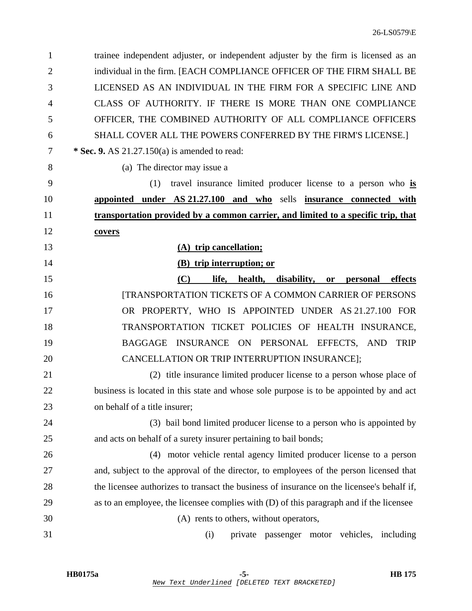| $\mathbf{1}$   | trainee independent adjuster, or independent adjuster by the firm is licensed as an        |
|----------------|--------------------------------------------------------------------------------------------|
| $\overline{2}$ | individual in the firm. [EACH COMPLIANCE OFFICER OF THE FIRM SHALL BE                      |
| 3              | LICENSED AS AN INDIVIDUAL IN THE FIRM FOR A SPECIFIC LINE AND                              |
| 4              | CLASS OF AUTHORITY. IF THERE IS MORE THAN ONE COMPLIANCE                                   |
| 5              | OFFICER, THE COMBINED AUTHORITY OF ALL COMPLIANCE OFFICERS                                 |
| 6              | SHALL COVER ALL THE POWERS CONFERRED BY THE FIRM'S LICENSE.]                               |
| 7              | * Sec. 9. AS $21.27.150(a)$ is amended to read:                                            |
| 8              | (a) The director may issue a                                                               |
| 9              | (1)<br>travel insurance limited producer license to a person who is                        |
| 10             | appointed under AS 21.27.100 and who sells insurance connected with                        |
| 11             | transportation provided by a common carrier, and limited to a specific trip, that          |
| 12             | covers                                                                                     |
| 13             | (A) trip cancellation;                                                                     |
| 14             | (B) trip interruption; or                                                                  |
| 15             | (C)<br>life,<br>health, disability, or<br>effects<br>personal                              |
| 16             | <b>[TRANSPORTATION TICKETS OF A COMMON CARRIER OF PERSONS</b>                              |
| 17             | OR PROPERTY, WHO IS APPOINTED UNDER AS 21.27.100 FOR                                       |
| 18             | TRANSPORTATION TICKET POLICIES OF HEALTH INSURANCE,                                        |
| 19             | INSURANCE ON PERSONAL EFFECTS, AND<br><b>BAGGAGE</b><br><b>TRIP</b>                        |
| 20             | CANCELLATION OR TRIP INTERRUPTION INSURANCE];                                              |
| 21             | (2) title insurance limited producer license to a person whose place of                    |
| 22             | business is located in this state and whose sole purpose is to be appointed by and act     |
| 23             | on behalf of a title insurer;                                                              |
| 24             | (3) bail bond limited producer license to a person who is appointed by                     |
| 25             | and acts on behalf of a surety insurer pertaining to bail bonds;                           |
| 26             | motor vehicle rental agency limited producer license to a person<br>(4)                    |
| 27             | and, subject to the approval of the director, to employees of the person licensed that     |
| 28             | the licensee authorizes to transact the business of insurance on the licensee's behalf if, |
| 29             | as to an employee, the licensee complies with (D) of this paragraph and if the licensee    |
| 30             | (A) rents to others, without operators,                                                    |
| 31             | (i)<br>private passenger motor vehicles, including                                         |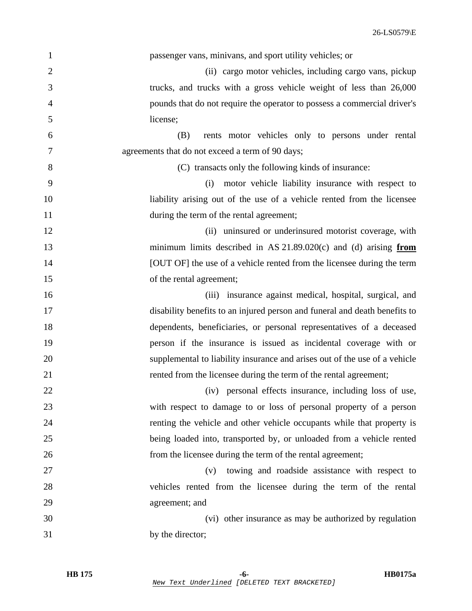| $\mathbf{1}$   | passenger vans, minivans, and sport utility vehicles; or                   |
|----------------|----------------------------------------------------------------------------|
| $\mathbf{2}$   | (ii) cargo motor vehicles, including cargo vans, pickup                    |
| 3              | trucks, and trucks with a gross vehicle weight of less than 26,000         |
| $\overline{4}$ | pounds that do not require the operator to possess a commercial driver's   |
| 5              | license;                                                                   |
| 6              | rents motor vehicles only to persons under rental<br>(B)                   |
| 7              | agreements that do not exceed a term of 90 days;                           |
| 8              | (C) transacts only the following kinds of insurance:                       |
| 9              | motor vehicle liability insurance with respect to<br>(i)                   |
| 10             | liability arising out of the use of a vehicle rented from the licensee     |
| 11             | during the term of the rental agreement;                                   |
| 12             | (ii) uninsured or underinsured motorist coverage, with                     |
| 13             | minimum limits described in AS $21.89.020(c)$ and (d) arising from         |
| 14             | [OUT OF] the use of a vehicle rented from the licensee during the term     |
| 15             | of the rental agreement;                                                   |
| 16             | insurance against medical, hospital, surgical, and<br>(iii)                |
| 17             | disability benefits to an injured person and funeral and death benefits to |
| 18             | dependents, beneficiaries, or personal representatives of a deceased       |
| 19             | person if the insurance is issued as incidental coverage with or           |
| 20             | supplemental to liability insurance and arises out of the use of a vehicle |
| 21             | rented from the licensee during the term of the rental agreement;          |
| 22             | (iv) personal effects insurance, including loss of use,                    |
| 23             | with respect to damage to or loss of personal property of a person         |
| 24             | renting the vehicle and other vehicle occupants while that property is     |
| 25             | being loaded into, transported by, or unloaded from a vehicle rented       |
| 26             | from the licensee during the term of the rental agreement;                 |
| 27             | towing and roadside assistance with respect to<br>(v)                      |
| 28             | vehicles rented from the licensee during the term of the rental            |
| 29             | agreement; and                                                             |
| 30             | (vi) other insurance as may be authorized by regulation                    |
| 31             | by the director;                                                           |
|                |                                                                            |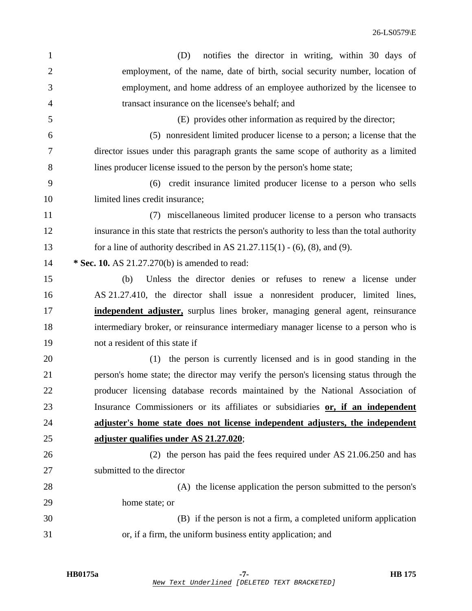| notifies the director in writing, within 30 days of<br>(D)                                     |
|------------------------------------------------------------------------------------------------|
| employment, of the name, date of birth, social security number, location of                    |
| employment, and home address of an employee authorized by the licensee to                      |
| transact insurance on the licensee's behalf; and                                               |
| (E) provides other information as required by the director;                                    |
| (5) nonresident limited producer license to a person; a license that the                       |
| director issues under this paragraph grants the same scope of authority as a limited           |
| lines producer license issued to the person by the person's home state;                        |
| (6) credit insurance limited producer license to a person who sells                            |
| limited lines credit insurance;                                                                |
| (7) miscellaneous limited producer license to a person who transacts                           |
| insurance in this state that restricts the person's authority to less than the total authority |
| for a line of authority described in AS $21.27.115(1) - (6)$ , (8), and (9).                   |
| * Sec. 10. AS 21.27.270(b) is amended to read:                                                 |
| Unless the director denies or refuses to renew a license under<br>(b)                          |
| AS 21.27.410, the director shall issue a nonresident producer, limited lines,                  |
| independent adjuster, surplus lines broker, managing general agent, reinsurance                |
| intermediary broker, or reinsurance intermediary manager license to a person who is            |
| not a resident of this state if                                                                |
| (1) the person is currently licensed and is in good standing in the                            |
| person's home state; the director may verify the person's licensing status through the         |
| producer licensing database records maintained by the National Association of                  |
| Insurance Commissioners or its affiliates or subsidiaries or, if an independent                |
| adjuster's home state does not license independent adjusters, the independent                  |
| adjuster qualifies under AS 21.27.020;                                                         |
| $(2)$ the person has paid the fees required under AS 21.06.250 and has                         |
| submitted to the director                                                                      |
| (A) the license application the person submitted to the person's                               |
| home state; or                                                                                 |
|                                                                                                |
| (B) if the person is not a firm, a completed uniform application                               |
|                                                                                                |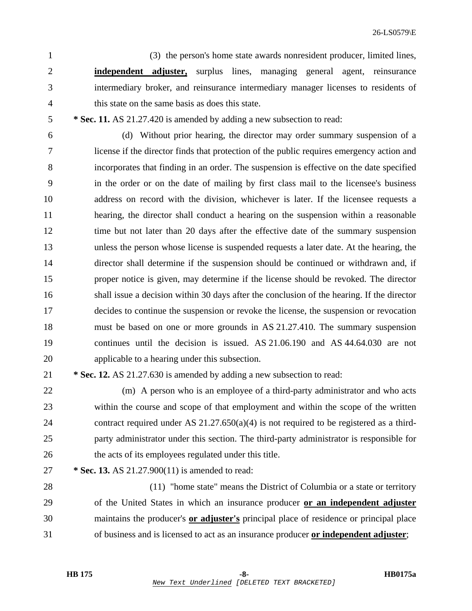1 (3) the person's home state awards nonresident producer, limited lines, 2 **independent adjuster,** surplus lines, managing general agent, reinsurance 3 intermediary broker, and reinsurance intermediary manager licenses to residents of 4 this state on the same basis as does this state.

5 **\* Sec. 11.** AS 21.27.420 is amended by adding a new subsection to read:

6 (d) Without prior hearing, the director may order summary suspension of a 7 license if the director finds that protection of the public requires emergency action and 8 incorporates that finding in an order. The suspension is effective on the date specified 9 in the order or on the date of mailing by first class mail to the licensee's business 10 address on record with the division, whichever is later. If the licensee requests a 11 hearing, the director shall conduct a hearing on the suspension within a reasonable 12 time but not later than 20 days after the effective date of the summary suspension 13 unless the person whose license is suspended requests a later date. At the hearing, the 14 director shall determine if the suspension should be continued or withdrawn and, if 15 proper notice is given, may determine if the license should be revoked. The director 16 shall issue a decision within 30 days after the conclusion of the hearing. If the director 17 decides to continue the suspension or revoke the license, the suspension or revocation 18 must be based on one or more grounds in AS 21.27.410. The summary suspension 19 continues until the decision is issued. AS 21.06.190 and AS 44.64.030 are not 20 applicable to a hearing under this subsection.

21 **\* Sec. 12.** AS 21.27.630 is amended by adding a new subsection to read:

22 (m) A person who is an employee of a third-party administrator and who acts 23 within the course and scope of that employment and within the scope of the written 24 contract required under AS 21.27.650(a)(4) is not required to be registered as a third-25 party administrator under this section. The third-party administrator is responsible for 26 the acts of its employees regulated under this title.

27 **\* Sec. 13.** AS 21.27.900(11) is amended to read:

28 (11) "home state" means the District of Columbia or a state or territory 29 of the United States in which an insurance producer **or an independent adjuster** 30 maintains the producer's **or adjuster's** principal place of residence or principal place 31 of business and is licensed to act as an insurance producer **or independent adjuster**;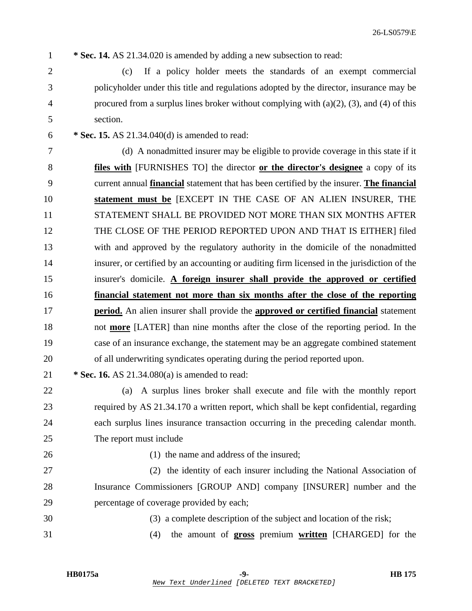1 **\* Sec. 14.** AS 21.34.020 is amended by adding a new subsection to read:

- 2 (c) If a policy holder meets the standards of an exempt commercial 3 policyholder under this title and regulations adopted by the director, insurance may be 4 procured from a surplus lines broker without complying with (a)(2), (3), and (4) of this 5 section.
- 6 **\* Sec. 15.** AS 21.34.040(d) is amended to read:

7 (d) A nonadmitted insurer may be eligible to provide coverage in this state if it 8 **files with** [FURNISHES TO] the director **or the director's designee** a copy of its 9 current annual **financial** statement that has been certified by the insurer. **The financial** 10 **statement must be** [EXCEPT IN THE CASE OF AN ALIEN INSURER, THE 11 STATEMENT SHALL BE PROVIDED NOT MORE THAN SIX MONTHS AFTER 12 THE CLOSE OF THE PERIOD REPORTED UPON AND THAT IS EITHER] filed 13 with and approved by the regulatory authority in the domicile of the nonadmitted 14 insurer, or certified by an accounting or auditing firm licensed in the jurisdiction of the 15 insurer's domicile. **A foreign insurer shall provide the approved or certified** 16 **financial statement not more than six months after the close of the reporting** 17 **period.** An alien insurer shall provide the **approved or certified financial** statement 18 not **more** [LATER] than nine months after the close of the reporting period. In the 19 case of an insurance exchange, the statement may be an aggregate combined statement 20 of all underwriting syndicates operating during the period reported upon.

21 **\* Sec. 16.** AS 21.34.080(a) is amended to read:

22 (a) A surplus lines broker shall execute and file with the monthly report 23 required by AS 21.34.170 a written report, which shall be kept confidential, regarding 24 each surplus lines insurance transaction occurring in the preceding calendar month. 25 The report must include

26 (1) the name and address of the insured;

27 (2) the identity of each insurer including the National Association of 28 Insurance Commissioners [GROUP AND] company [INSURER] number and the 29 percentage of coverage provided by each;

- 30 (3) a complete description of the subject and location of the risk;
- 31 (4) the amount of **gross** premium **written** [CHARGED] for the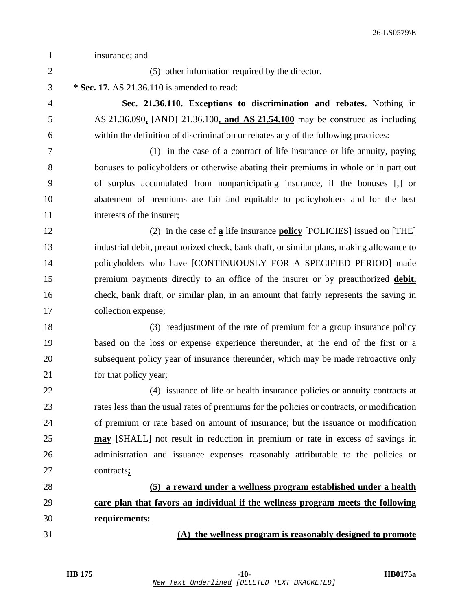| $\mathbf{1}$   | insurance; and                                                                             |
|----------------|--------------------------------------------------------------------------------------------|
| $\overline{2}$ | (5) other information required by the director.                                            |
| 3              | * Sec. 17. AS 21.36.110 is amended to read:                                                |
| 4              | Sec. 21.36.110. Exceptions to discrimination and rebates. Nothing in                       |
| 5              | AS 21.36.090, [AND] 21.36.100, and AS 21.54.100 may be construed as including              |
| 6              | within the definition of discrimination or rebates any of the following practices:         |
| 7              | (1) in the case of a contract of life insurance or life annuity, paying                    |
| 8              | bonuses to policyholders or otherwise abating their premiums in whole or in part out       |
| 9              | of surplus accumulated from nonparticipating insurance, if the bonuses [,] or              |
| 10             | abatement of premiums are fair and equitable to policyholders and for the best             |
| 11             | interests of the insurer;                                                                  |
| 12             | (2) in the case of $\underline{a}$ life insurance <b>policy</b> [POLICIES] issued on [THE] |
| 13             | industrial debit, preauthorized check, bank draft, or similar plans, making allowance to   |
| 14             | policyholders who have [CONTINUOUSLY FOR A SPECIFIED PERIOD] made                          |
| 15             | premium payments directly to an office of the insurer or by preauthorized debit,           |
| 16             | check, bank draft, or similar plan, in an amount that fairly represents the saving in      |
| 17             | collection expense;                                                                        |
| 18             | (3) readjustment of the rate of premium for a group insurance policy                       |
| 19             | based on the loss or expense experience thereunder, at the end of the first or a           |
| 20             | subsequent policy year of insurance thereunder, which may be made retroactive only         |
| 21             | for that policy year;                                                                      |
| 22             | (4) issuance of life or health insurance policies or annuity contracts at                  |
| 23             | rates less than the usual rates of premiums for the policies or contracts, or modification |
| 24             | of premium or rate based on amount of insurance; but the issuance or modification          |
| 25             | may [SHALL] not result in reduction in premium or rate in excess of savings in             |
| 26             | administration and issuance expenses reasonably attributable to the policies or            |
| 27             | contracts;                                                                                 |
| 28             | (5) a reward under a wellness program established under a health                           |
| 29             | care plan that favors an individual if the wellness program meets the following            |
| 30             | requirements:                                                                              |
| 31             | (A) the wellness program is reasonably designed to promote                                 |
|                |                                                                                            |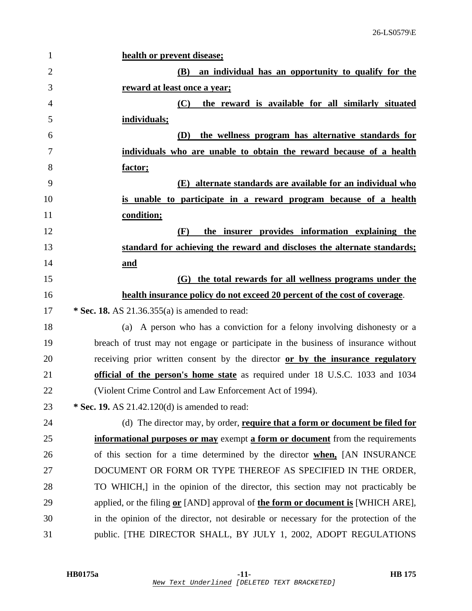| 1              | health or prevent disease;                                                           |
|----------------|--------------------------------------------------------------------------------------|
| $\overline{2}$ | <b>(B)</b><br>an individual has an opportunity to qualify for the                    |
| 3              | reward at least once a year;                                                         |
| 4              | the reward is available for all similarly situated<br>(C)                            |
| 5              | individuals;                                                                         |
| 6              | the wellness program has alternative standards for<br><b>(D)</b>                     |
| 7              | individuals who are unable to obtain the reward because of a health                  |
| 8              | factor;                                                                              |
| 9              | (E) alternate standards are available for an individual who                          |
| 10             | is unable to participate in a reward program because of a health                     |
| 11             | condition;                                                                           |
| 12             | the insurer provides information explaining the<br>(F)                               |
| 13             | standard for achieving the reward and discloses the alternate standards;             |
| 14             | and                                                                                  |
| 15             | (G) the total rewards for all wellness programs under the                            |
| 16             | health insurance policy do not exceed 20 percent of the cost of coverage.            |
| 17             | * Sec. 18. AS $21.36.355(a)$ is amended to read:                                     |
| 18             | (a) A person who has a conviction for a felony involving dishonesty or a             |
| 19             | breach of trust may not engage or participate in the business of insurance without   |
| 20             | receiving prior written consent by the director or by the insurance regulatory       |
| 21             | official of the person's home state as required under 18 U.S.C. 1033 and 1034        |
| 22             | (Violent Crime Control and Law Enforcement Act of 1994).                             |
| 23             | * Sec. 19. AS $21.42.120(d)$ is amended to read:                                     |
| 24             | (d) The director may, by order, require that a form or document be filed for         |
| 25             | informational purposes or may exempt a form or document from the requirements        |
| 26             | of this section for a time determined by the director when, [AN INSURANCE            |
| 27             | DOCUMENT OR FORM OR TYPE THEREOF AS SPECIFIED IN THE ORDER,                          |
| 28             | TO WHICH, in the opinion of the director, this section may not practicably be        |
| 29             | applied, or the filing or [AND] approval of the form or document is [WHICH ARE],     |
| 30             | in the opinion of the director, not desirable or necessary for the protection of the |
| 31             | public. [THE DIRECTOR SHALL, BY JULY 1, 2002, ADOPT REGULATIONS                      |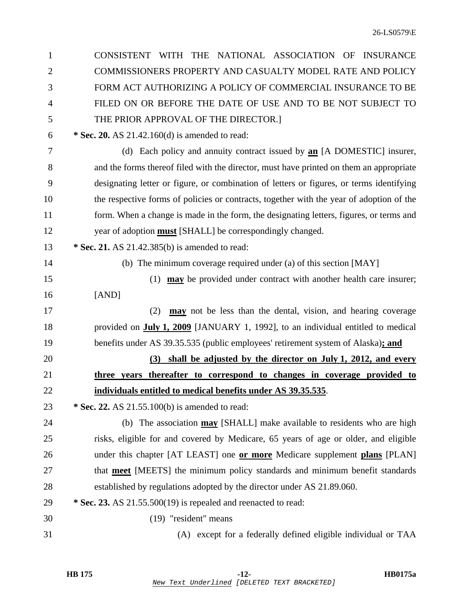| CONSISTENT WITH THE NATIONAL ASSOCIATION OF INSURANCE                                    |
|------------------------------------------------------------------------------------------|
| COMMISSIONERS PROPERTY AND CASUALTY MODEL RATE AND POLICY                                |
| FORM ACT AUTHORIZING A POLICY OF COMMERCIAL INSURANCE TO BE                              |
| FILED ON OR BEFORE THE DATE OF USE AND TO BE NOT SUBJECT TO                              |
| THE PRIOR APPROVAL OF THE DIRECTOR.]                                                     |
| * Sec. 20. AS 21.42.160(d) is amended to read:                                           |
| (d) Each policy and annuity contract issued by <b>an</b> [A DOMESTIC] insurer,           |
| and the forms thereof filed with the director, must have printed on them an appropriate  |
| designating letter or figure, or combination of letters or figures, or terms identifying |
| the respective forms of policies or contracts, together with the year of adoption of the |
| form. When a change is made in the form, the designating letters, figures, or terms and  |
| year of adoption <b>must</b> [SHALL] be correspondingly changed.                         |
| * Sec. 21. AS 21.42.385(b) is amended to read:                                           |
| (b) The minimum coverage required under (a) of this section [MAY]                        |
| (1) $\mu$ may be provided under contract with another health care insurer;               |
| [AND]                                                                                    |
| <b>may</b> not be less than the dental, vision, and hearing coverage<br>(2)              |
| provided on <b>July 1, 2009</b> [JANUARY 1, 1992], to an individual entitled to medical  |
| benefits under AS 39.35.535 (public employees' retirement system of Alaska); and         |
| (3) shall be adjusted by the director on July 1, 2012, and every                         |
| three years thereafter to correspond to changes in coverage provided to                  |
| individuals entitled to medical benefits under AS 39.35.535.                             |
| * Sec. 22. AS 21.55.100(b) is amended to read:                                           |
| (b) The association may [SHALL] make available to residents who are high                 |
| risks, eligible for and covered by Medicare, 65 years of age or older, and eligible      |
| under this chapter [AT LEAST] one or more Medicare supplement plans [PLAN]               |
| that <b>meet</b> [MEETS] the minimum policy standards and minimum benefit standards      |
| established by regulations adopted by the director under AS 21.89.060.                   |
| * Sec. 23. AS 21.55.500(19) is repealed and reenacted to read:                           |
| (19) "resident" means                                                                    |
| (A) except for a federally defined eligible individual or TAA                            |
|                                                                                          |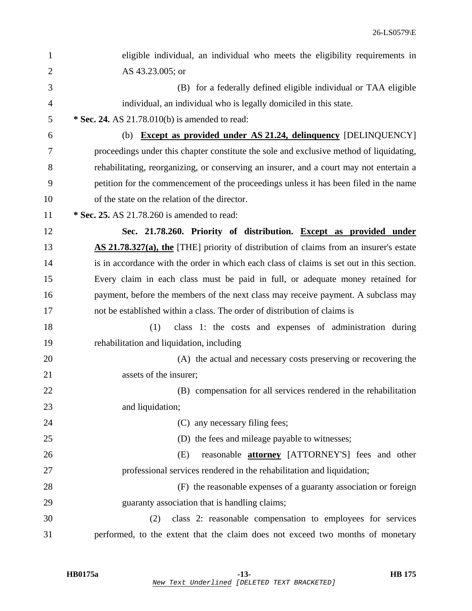| $\mathbf{1}$   | eligible individual, an individual who meets the eligibility requirements in              |
|----------------|-------------------------------------------------------------------------------------------|
| $\overline{2}$ | AS 43.23.005; or                                                                          |
| 3              | (B) for a federally defined eligible individual or TAA eligible                           |
| 4              | individual, an individual who is legally domiciled in this state.                         |
| 5              | * Sec. 24. AS 21.78.010(b) is amended to read:                                            |
| 6              | <b>Except as provided under AS 21.24, delinquency [DELINQUENCY]</b><br>(b)                |
| 7              | proceedings under this chapter constitute the sole and exclusive method of liquidating,   |
| 8              | rehabilitating, reorganizing, or conserving an insurer, and a court may not entertain a   |
| 9              | petition for the commencement of the proceedings unless it has been filed in the name     |
| 10             | of the state on the relation of the director.                                             |
| 11             | * Sec. 25. AS 21.78.260 is amended to read:                                               |
| 12             | Sec. 21.78.260. Priority of distribution. Except as provided under                        |
| 13             | AS 21.78.327(a), the [THE] priority of distribution of claims from an insurer's estate    |
| 14             | is in accordance with the order in which each class of claims is set out in this section. |
| 15             | Every claim in each class must be paid in full, or adequate money retained for            |
| 16             | payment, before the members of the next class may receive payment. A subclass may         |
| 17             | not be established within a class. The order of distribution of claims is                 |
| 18             | (1)<br>class 1: the costs and expenses of administration during                           |
| 19             | rehabilitation and liquidation, including                                                 |
| 20             | (A) the actual and necessary costs preserving or recovering the                           |
| 21             | assets of the insurer;                                                                    |
| 22             | (B) compensation for all services rendered in the rehabilitation                          |
| 23             | and liquidation;                                                                          |
| 24             | (C) any necessary filing fees;                                                            |
| 25             | (D) the fees and mileage payable to witnesses;                                            |
| 26             | reasonable <b>attorney</b> [ATTORNEY'S] fees and other<br>(E)                             |
| 27             | professional services rendered in the rehabilitation and liquidation;                     |
| 28             | (F) the reasonable expenses of a guaranty association or foreign                          |
| 29             | guaranty association that is handling claims;                                             |
| 30             | class 2: reasonable compensation to employees for services<br>(2)                         |
| 31             | performed, to the extent that the claim does not exceed two months of monetary            |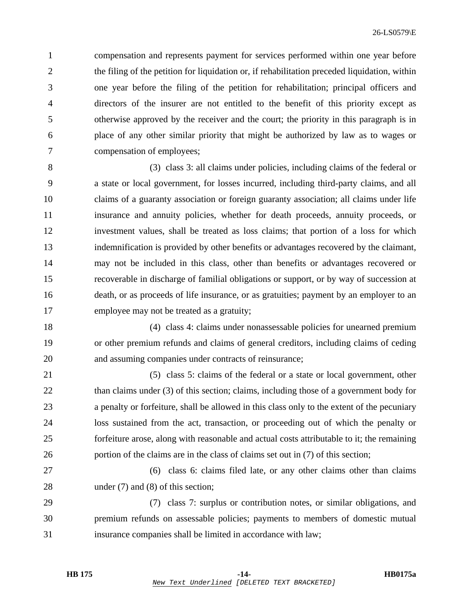1 compensation and represents payment for services performed within one year before 2 the filing of the petition for liquidation or, if rehabilitation preceded liquidation, within 3 one year before the filing of the petition for rehabilitation; principal officers and 4 directors of the insurer are not entitled to the benefit of this priority except as 5 otherwise approved by the receiver and the court; the priority in this paragraph is in 6 place of any other similar priority that might be authorized by law as to wages or 7 compensation of employees;

8 (3) class 3: all claims under policies, including claims of the federal or 9 a state or local government, for losses incurred, including third-party claims, and all 10 claims of a guaranty association or foreign guaranty association; all claims under life 11 insurance and annuity policies, whether for death proceeds, annuity proceeds, or 12 investment values, shall be treated as loss claims; that portion of a loss for which 13 indemnification is provided by other benefits or advantages recovered by the claimant, 14 may not be included in this class, other than benefits or advantages recovered or 15 recoverable in discharge of familial obligations or support, or by way of succession at 16 death, or as proceeds of life insurance, or as gratuities; payment by an employer to an 17 employee may not be treated as a gratuity;

18 (4) class 4: claims under nonassessable policies for unearned premium 19 or other premium refunds and claims of general creditors, including claims of ceding 20 and assuming companies under contracts of reinsurance;

21 (5) class 5: claims of the federal or a state or local government, other 22 than claims under (3) of this section; claims, including those of a government body for 23 a penalty or forfeiture, shall be allowed in this class only to the extent of the pecuniary 24 loss sustained from the act, transaction, or proceeding out of which the penalty or 25 forfeiture arose, along with reasonable and actual costs attributable to it; the remaining 26 portion of the claims are in the class of claims set out in (7) of this section;

27 (6) class 6: claims filed late, or any other claims other than claims 28 under (7) and (8) of this section;

29 (7) class 7: surplus or contribution notes, or similar obligations, and 30 premium refunds on assessable policies; payments to members of domestic mutual 31 insurance companies shall be limited in accordance with law;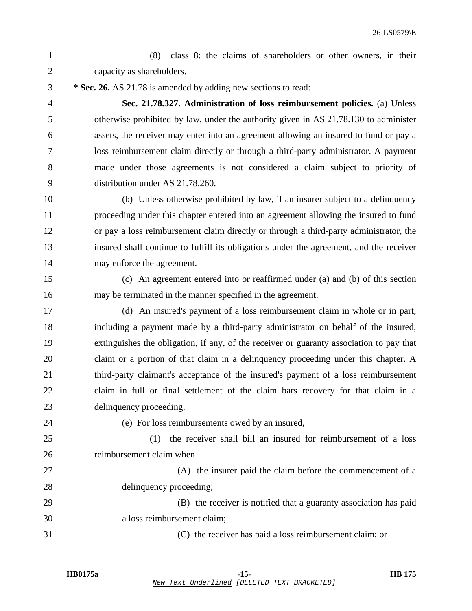1 (8) class 8: the claims of shareholders or other owners, in their 2 capacity as shareholders.

3 **\* Sec. 26.** AS 21.78 is amended by adding new sections to read:

4 **Sec. 21.78.327. Administration of loss reimbursement policies.** (a) Unless 5 otherwise prohibited by law, under the authority given in AS 21.78.130 to administer 6 assets, the receiver may enter into an agreement allowing an insured to fund or pay a 7 loss reimbursement claim directly or through a third-party administrator. A payment 8 made under those agreements is not considered a claim subject to priority of 9 distribution under AS 21.78.260.

10 (b) Unless otherwise prohibited by law, if an insurer subject to a delinquency 11 proceeding under this chapter entered into an agreement allowing the insured to fund 12 or pay a loss reimbursement claim directly or through a third-party administrator, the 13 insured shall continue to fulfill its obligations under the agreement, and the receiver 14 may enforce the agreement.

15 (c) An agreement entered into or reaffirmed under (a) and (b) of this section 16 may be terminated in the manner specified in the agreement.

17 (d) An insured's payment of a loss reimbursement claim in whole or in part, 18 including a payment made by a third-party administrator on behalf of the insured, 19 extinguishes the obligation, if any, of the receiver or guaranty association to pay that 20 claim or a portion of that claim in a delinquency proceeding under this chapter. A 21 third-party claimant's acceptance of the insured's payment of a loss reimbursement 22 claim in full or final settlement of the claim bars recovery for that claim in a 23 delinquency proceeding.

24 (e) For loss reimbursements owed by an insured,

25 (1) the receiver shall bill an insured for reimbursement of a loss 26 reimbursement claim when

27 (A) the insurer paid the claim before the commencement of a 28 delinquency proceeding;

29 (B) the receiver is notified that a guaranty association has paid 30 a loss reimbursement claim;

31 (C) the receiver has paid a loss reimbursement claim; or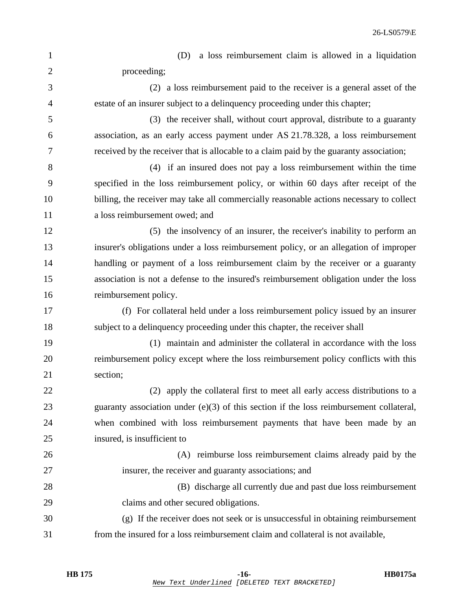| 1              | a loss reimbursement claim is allowed in a liquidation<br>(D)                             |
|----------------|-------------------------------------------------------------------------------------------|
| $\mathbf{2}$   | proceeding;                                                                               |
| 3              | (2) a loss reimbursement paid to the receiver is a general asset of the                   |
| $\overline{4}$ | estate of an insurer subject to a delinquency proceeding under this chapter;              |
| 5              | (3) the receiver shall, without court approval, distribute to a guaranty                  |
| 6              | association, as an early access payment under AS 21.78.328, a loss reimbursement          |
| 7              | received by the receiver that is allocable to a claim paid by the guaranty association;   |
| 8              | (4) if an insured does not pay a loss reimbursement within the time                       |
| 9              | specified in the loss reimbursement policy, or within 60 days after receipt of the        |
| 10             | billing, the receiver may take all commercially reasonable actions necessary to collect   |
| 11             | a loss reimbursement owed; and                                                            |
| 12             | (5) the insolvency of an insurer, the receiver's inability to perform an                  |
| 13             | insurer's obligations under a loss reimbursement policy, or an allegation of improper     |
| 14             | handling or payment of a loss reimbursement claim by the receiver or a guaranty           |
| 15             | association is not a defense to the insured's reimbursement obligation under the loss     |
| 16             | reimbursement policy.                                                                     |
| 17             | (f) For collateral held under a loss reimbursement policy issued by an insurer            |
| 18             | subject to a delinquency proceeding under this chapter, the receiver shall                |
| 19             | (1) maintain and administer the collateral in accordance with the loss                    |
| 20             | reimbursement policy except where the loss reimbursement policy conflicts with this       |
| 21             | section;                                                                                  |
| 22             | (2) apply the collateral first to meet all early access distributions to a                |
| 23             | guaranty association under $(e)(3)$ of this section if the loss reimbursement collateral, |
| 24             | when combined with loss reimbursement payments that have been made by an                  |
| 25             | insured, is insufficient to                                                               |
| 26             | (A) reimburse loss reimbursement claims already paid by the                               |
| 27             | insurer, the receiver and guaranty associations; and                                      |
| 28             | (B) discharge all currently due and past due loss reimbursement                           |
| 29             | claims and other secured obligations.                                                     |
| 30             | (g) If the receiver does not seek or is unsuccessful in obtaining reimbursement           |
| 31             | from the insured for a loss reimbursement claim and collateral is not available,          |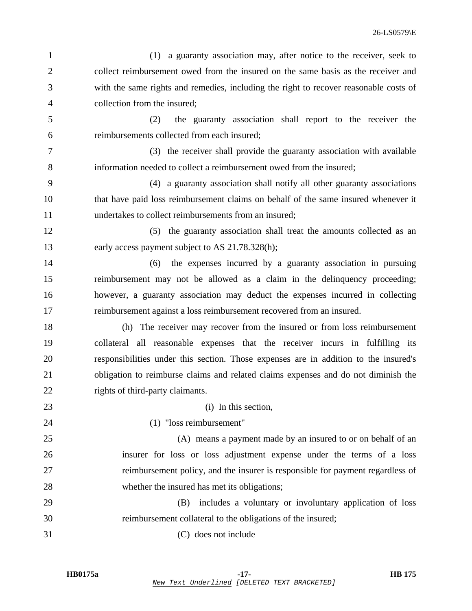|                | 26-LS0579\E                                                                           |
|----------------|---------------------------------------------------------------------------------------|
| $\mathbf{1}$   | (1) a guaranty association may, after notice to the receiver, seek to                 |
| $\overline{2}$ | collect reimbursement owed from the insured on the same basis as the receiver and     |
| 3              | with the same rights and remedies, including the right to recover reasonable costs of |
| 4              | collection from the insured;                                                          |
| 5              | the guaranty association shall report to the receiver the<br>(2)                      |
| 6              | reimbursements collected from each insured;                                           |
| 7              | (3) the receiver shall provide the guaranty association with available                |
| 8              | information needed to collect a reimbursement owed from the insured;                  |
| 9              | (4) a guaranty association shall notify all other guaranty associations               |
| 10             | that have paid loss reimbursement claims on behalf of the same insured whenever it    |
| 11             | undertakes to collect reimbursements from an insured;                                 |
| 12             | (5) the guaranty association shall treat the amounts collected as an                  |
| 13             | early access payment subject to AS 21.78.328(h);                                      |
| 14             | the expenses incurred by a guaranty association in pursuing<br>(6)                    |
| 15             | reimbursement may not be allowed as a claim in the delinquency proceeding;            |
| 16             | however, a guaranty association may deduct the expenses incurred in collecting        |
| 17             | reimbursement against a loss reimbursement recovered from an insured.                 |
| 18             | (h) The receiver may recover from the insured or from loss reimbursement              |
| 19             | collateral all reasonable expenses that the receiver incurs in fulfilling its         |
| 20             | responsibilities under this section. Those expenses are in addition to the insured's  |
| 21             | obligation to reimburse claims and related claims expenses and do not diminish the    |
| 22             | rights of third-party claimants.                                                      |
| 23             | (i) In this section,                                                                  |
| 24             | (1) "loss reimbursement"                                                              |
| 25             | (A) means a payment made by an insured to or on behalf of an                          |
| 26             | insurer for loss or loss adjustment expense under the terms of a loss                 |
| 27             | reimbursement policy, and the insurer is responsible for payment regardless of        |
| 28             | whether the insured has met its obligations;                                          |
| 29             | includes a voluntary or involuntary application of loss<br>(B)                        |
| 30             | reimbursement collateral to the obligations of the insured;                           |

31 (C) does not include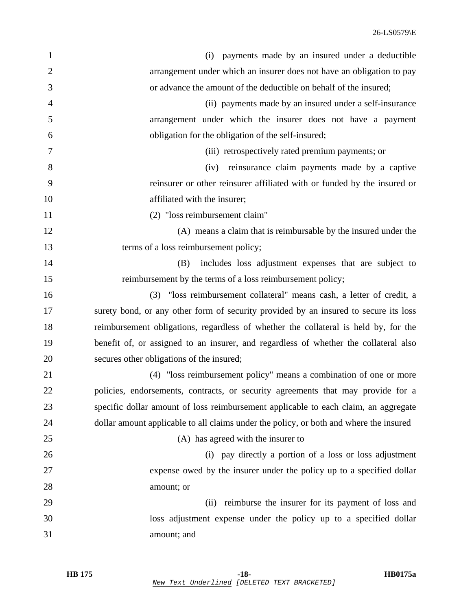| $\mathbf{1}$   | payments made by an insured under a deductible<br>(i)                                  |
|----------------|----------------------------------------------------------------------------------------|
| $\overline{2}$ | arrangement under which an insurer does not have an obligation to pay                  |
| 3              | or advance the amount of the deductible on behalf of the insured;                      |
| $\overline{4}$ | (ii) payments made by an insured under a self-insurance                                |
| 5              | arrangement under which the insurer does not have a payment                            |
| 6              | obligation for the obligation of the self-insured;                                     |
| 7              | (iii) retrospectively rated premium payments; or                                       |
| 8              | (iv) reinsurance claim payments made by a captive                                      |
| 9              | reinsurer or other reinsurer affiliated with or funded by the insured or               |
| 10             | affiliated with the insurer;                                                           |
| 11             | (2) "loss reimbursement claim"                                                         |
| 12             | (A) means a claim that is reimbursable by the insured under the                        |
| 13             | terms of a loss reimbursement policy;                                                  |
| 14             | includes loss adjustment expenses that are subject to<br>(B)                           |
| 15             | reimbursement by the terms of a loss reimbursement policy;                             |
| 16             | (3) "loss reimbursement collateral" means cash, a letter of credit, a                  |
| 17             | surety bond, or any other form of security provided by an insured to secure its loss   |
| 18             | reimbursement obligations, regardless of whether the collateral is held by, for the    |
| 19             | benefit of, or assigned to an insurer, and regardless of whether the collateral also   |
| 20             | secures other obligations of the insured;                                              |
| 21             | (4) "loss reimbursement policy" means a combination of one or more                     |
| 22             | policies, endorsements, contracts, or security agreements that may provide for a       |
| 23             | specific dollar amount of loss reimbursement applicable to each claim, an aggregate    |
| 24             | dollar amount applicable to all claims under the policy, or both and where the insured |
| 25             | (A) has agreed with the insurer to                                                     |
| 26             | (i) pay directly a portion of a loss or loss adjustment                                |
| 27             | expense owed by the insurer under the policy up to a specified dollar                  |
| 28             | amount; or                                                                             |
| 29             | reimburse the insurer for its payment of loss and<br>(ii)                              |
| 30             | loss adjustment expense under the policy up to a specified dollar                      |
| 31             | amount; and                                                                            |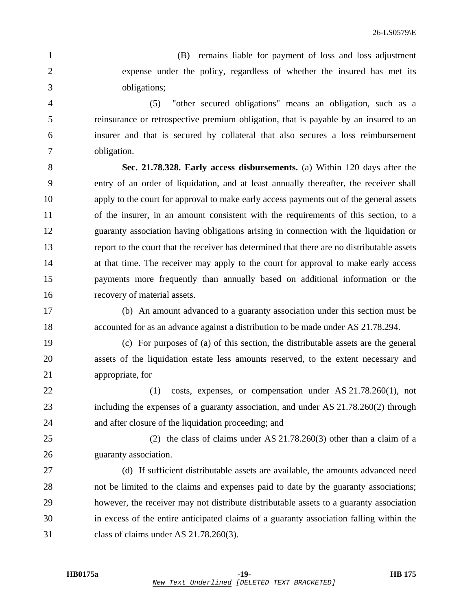1 (B) remains liable for payment of loss and loss adjustment 2 expense under the policy, regardless of whether the insured has met its 3 obligations;

4 (5) "other secured obligations" means an obligation, such as a 5 reinsurance or retrospective premium obligation, that is payable by an insured to an 6 insurer and that is secured by collateral that also secures a loss reimbursement 7 obligation.

8 **Sec. 21.78.328. Early access disbursements.** (a) Within 120 days after the 9 entry of an order of liquidation, and at least annually thereafter, the receiver shall 10 apply to the court for approval to make early access payments out of the general assets 11 of the insurer, in an amount consistent with the requirements of this section, to a 12 guaranty association having obligations arising in connection with the liquidation or 13 report to the court that the receiver has determined that there are no distributable assets 14 at that time. The receiver may apply to the court for approval to make early access 15 payments more frequently than annually based on additional information or the 16 recovery of material assets.

17 (b) An amount advanced to a guaranty association under this section must be 18 accounted for as an advance against a distribution to be made under AS 21.78.294.

19 (c) For purposes of (a) of this section, the distributable assets are the general 20 assets of the liquidation estate less amounts reserved, to the extent necessary and 21 appropriate, for

- 22 (1) costs, expenses, or compensation under AS 21.78.260(1), not 23 including the expenses of a guaranty association, and under AS 21.78.260(2) through 24 and after closure of the liquidation proceeding; and
- 25 (2) the class of claims under AS 21.78.260(3) other than a claim of a 26 guaranty association.
- 27 (d) If sufficient distributable assets are available, the amounts advanced need 28 not be limited to the claims and expenses paid to date by the guaranty associations; 29 however, the receiver may not distribute distributable assets to a guaranty association 30 in excess of the entire anticipated claims of a guaranty association falling within the 31 class of claims under AS 21.78.260(3).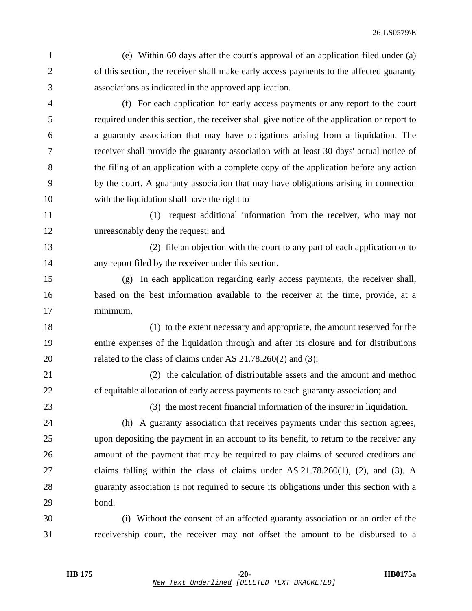1 (e) Within 60 days after the court's approval of an application filed under (a) 2 of this section, the receiver shall make early access payments to the affected guaranty 3 associations as indicated in the approved application.

4 (f) For each application for early access payments or any report to the court 5 required under this section, the receiver shall give notice of the application or report to 6 a guaranty association that may have obligations arising from a liquidation. The 7 receiver shall provide the guaranty association with at least 30 days' actual notice of 8 the filing of an application with a complete copy of the application before any action 9 by the court. A guaranty association that may have obligations arising in connection 10 with the liquidation shall have the right to

11 (1) request additional information from the receiver, who may not 12 unreasonably deny the request; and

13 (2) file an objection with the court to any part of each application or to 14 any report filed by the receiver under this section.

15 (g) In each application regarding early access payments, the receiver shall, 16 based on the best information available to the receiver at the time, provide, at a 17 minimum,

18 (1) to the extent necessary and appropriate, the amount reserved for the 19 entire expenses of the liquidation through and after its closure and for distributions 20 related to the class of claims under AS 21.78.260(2) and (3);

21 (2) the calculation of distributable assets and the amount and method 22 of equitable allocation of early access payments to each guaranty association; and

23 (3) the most recent financial information of the insurer in liquidation.

24 (h) A guaranty association that receives payments under this section agrees, 25 upon depositing the payment in an account to its benefit, to return to the receiver any 26 amount of the payment that may be required to pay claims of secured creditors and 27 claims falling within the class of claims under AS 21.78.260(1), (2), and (3). A 28 guaranty association is not required to secure its obligations under this section with a 29 bond.

30 (i) Without the consent of an affected guaranty association or an order of the 31 receivership court, the receiver may not offset the amount to be disbursed to a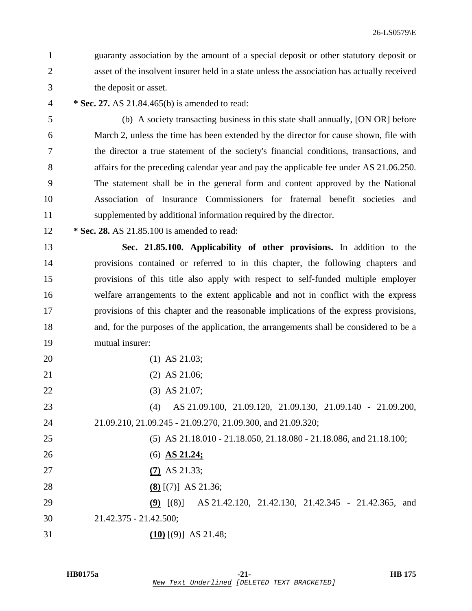- 1 guaranty association by the amount of a special deposit or other statutory deposit or 2 asset of the insolvent insurer held in a state unless the association has actually received 3 the deposit or asset.
- 4 **\* Sec. 27.** AS 21.84.465(b) is amended to read:
- 5 (b) A society transacting business in this state shall annually, [ON OR] before 6 March 2, unless the time has been extended by the director for cause shown, file with 7 the director a true statement of the society's financial conditions, transactions, and 8 affairs for the preceding calendar year and pay the applicable fee under AS 21.06.250. 9 The statement shall be in the general form and content approved by the National 10 Association of Insurance Commissioners for fraternal benefit societies and 11 supplemented by additional information required by the director.
- 12 **\* Sec. 28.** AS 21.85.100 is amended to read:

13 **Sec. 21.85.100. Applicability of other provisions.** In addition to the 14 provisions contained or referred to in this chapter, the following chapters and 15 provisions of this title also apply with respect to self-funded multiple employer 16 welfare arrangements to the extent applicable and not in conflict with the express 17 provisions of this chapter and the reasonable implications of the express provisions, 18 and, for the purposes of the application, the arrangements shall be considered to be a 19 mutual insurer:

- 20 (1) AS 21.03;
- 21 (2) AS 21.06;
- 22 (3) AS 21.07;

23 (4) AS 21.09.100, 21.09.120, 21.09.130, 21.09.140 - 21.09.200, 24 21.09.210, 21.09.245 - 21.09.270, 21.09.300, and 21.09.320;

25 (5) AS 21.18.010 - 21.18.050, 21.18.080 - 21.18.086, and 21.18.100;

- 26 (6) **AS 21.24;**
- 27 **(7)** AS 21.33;
- 28 **(8)** [(7)] AS 21.36;

29 **(9)** [(8)] AS 21.42.120, 21.42.130, 21.42.345 - 21.42.365, and 30 21.42.375 - 21.42.500;

31 **(10)** [(9)] AS 21.48;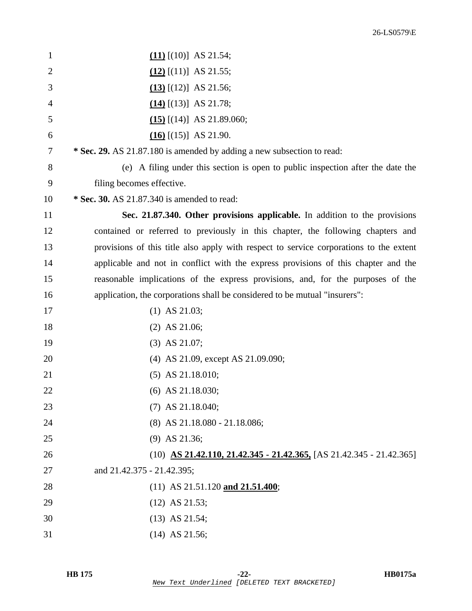| $\mathbf{1}$   | $(11)$ [(10)] AS 21.54;                                                                |
|----------------|----------------------------------------------------------------------------------------|
| $\overline{2}$ | $(12)$ [(11)] AS 21.55;                                                                |
| 3              | $(13)$ [(12)] AS 21.56;                                                                |
| 4              | $(14)$ [(13)] AS 21.78;                                                                |
| 5              | $(15)$ [(14)] AS 21.89.060;                                                            |
| 6              | $(16)$ [(15)] AS 21.90.                                                                |
| 7              | * Sec. 29. AS 21.87.180 is amended by adding a new subsection to read:                 |
| 8              | (e) A filing under this section is open to public inspection after the date the        |
| 9              | filing becomes effective.                                                              |
| 10             | * Sec. 30. AS 21.87.340 is amended to read:                                            |
| 11             | Sec. 21.87.340. Other provisions applicable. In addition to the provisions             |
| 12             | contained or referred to previously in this chapter, the following chapters and        |
| 13             | provisions of this title also apply with respect to service corporations to the extent |
| 14             | applicable and not in conflict with the express provisions of this chapter and the     |
| 15             | reasonable implications of the express provisions, and, for the purposes of the        |
| 16             | application, the corporations shall be considered to be mutual "insurers":             |
| 17             | $(1)$ AS 21.03;                                                                        |
| 18             | $(2)$ AS 21.06;                                                                        |
| 19             | $(3)$ AS 21.07;                                                                        |
| 20             | (4) AS 21.09, except AS 21.09.090;                                                     |
| 21             | $(5)$ AS 21.18.010;                                                                    |
| 22             | $(6)$ AS 21.18.030;                                                                    |
| 23             | $(7)$ AS 21.18.040;                                                                    |
| 24             | (8) AS 21.18.080 - 21.18.086;                                                          |
| 25             | $(9)$ AS 21.36;                                                                        |
| 26             | $(10)$ AS 21.42.110, 21.42.345 - 21.42.365, [AS 21.42.345 - 21.42.365]                 |
| 27             | and 21.42.375 - 21.42.395;                                                             |
| 28             | $(11)$ AS 21.51.120 and 21.51.400;                                                     |
| 29             | $(12)$ AS 21.53;                                                                       |
| 30             | $(13)$ AS 21.54;                                                                       |
| 31             | $(14)$ AS 21.56;                                                                       |